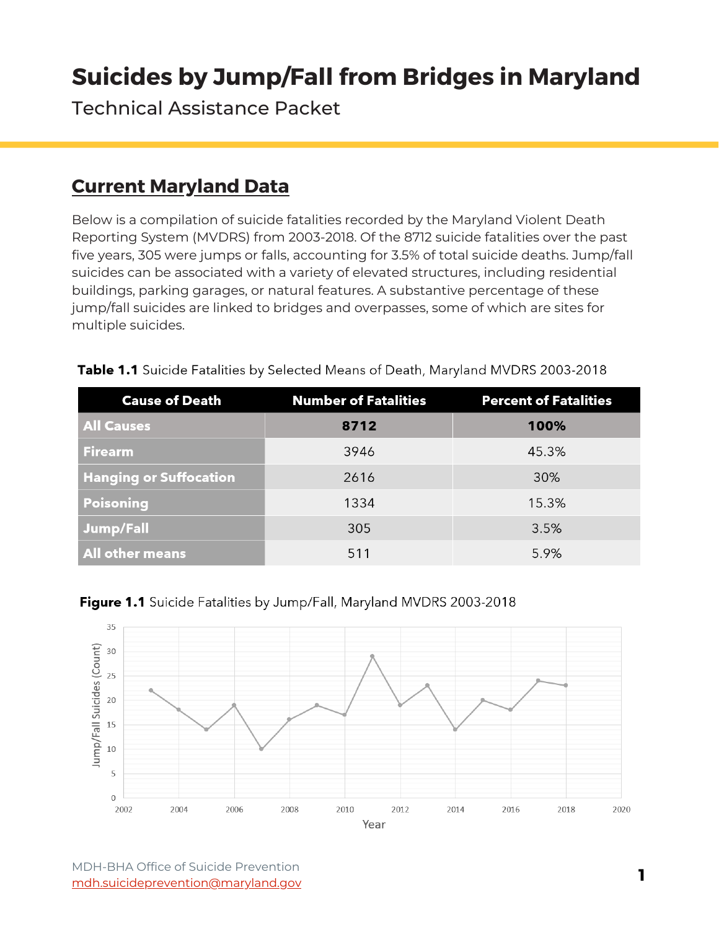Technical Assistance Packet

# **Current Maryland Data**

Below is a compilation of suicide fatalities recorded by the Maryland Violent Death Reporting System (MVDRS) from 2003-2018. Of the 8712 suicide fatalities over the past five years, 305 were jumps or falls, accounting for 3.5% of total suicide deaths. Jump/fall suicides can be associated with a variety of elevated structures, including residential buildings, parking garages, or natural features. A substantive percentage of these jump/fall suicides are linked to bridges and overpasses, some of which are sites for multiple suicides.

| <b>Cause of Death</b>         | <b>Number of Fatalities</b> | <b>Percent of Fatalities</b> |
|-------------------------------|-----------------------------|------------------------------|
| <b>All Causes</b>             | 8712                        | 100%                         |
| <b>Firearm</b>                | 3946                        | 45.3%                        |
| <b>Hanging or Suffocation</b> | 2616                        | 30%                          |
| <b>Poisoning</b>              | 1334                        | 15.3%                        |
| <b>Jump/Fall</b>              | 305                         | 3.5%                         |
| All other means               | 511                         | 5.9%                         |

Table 1.1 Suicide Fatalities by Selected Means of Death, Maryland MVDRS 2003-2018



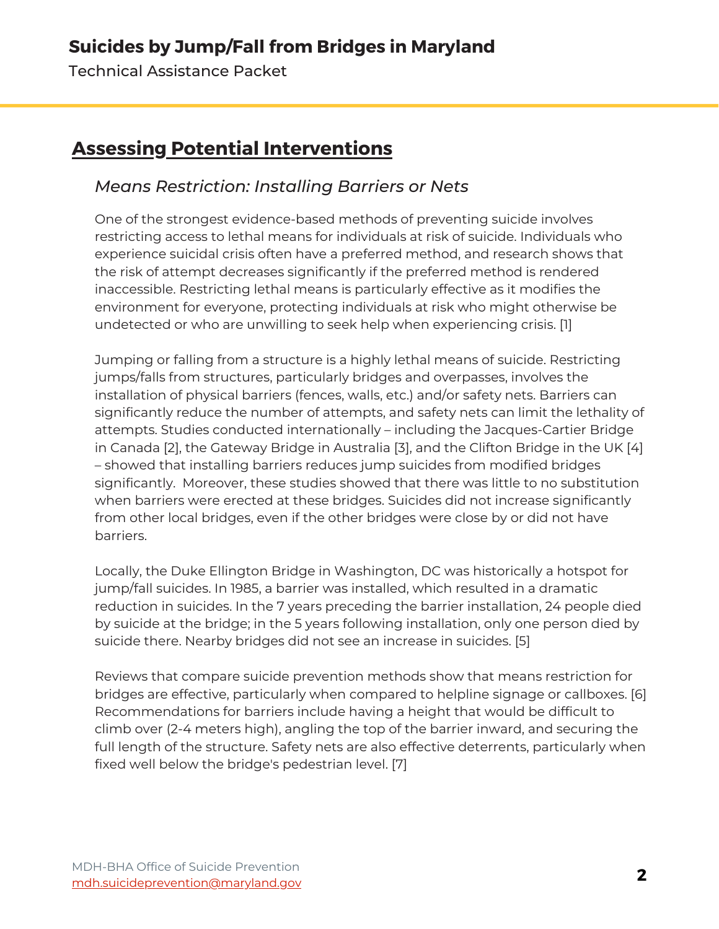Technical Assistance Packet

# **Assessing Potential Interventions**

#### *Means Restriction: Installing Barriers or Nets*

One of the strongest evidence-based methods of preventing suicide involves restricting access to lethal means for individuals at risk of suicide. Individuals who experience suicidal crisis often have a preferred method, and research shows that the risk of attempt decreases significantly if the preferred method is rendered inaccessible. Restricting lethal means is particularly effective as it modifies the environment for everyone, protecting individuals at risk who might otherwise be undetected or who are unwilling to seek help when experiencing crisis. [1]

Jumping or falling from a structure is a highly lethal means of suicide. Restricting jumps/falls from structures, particularly bridges and overpasses, involves the installation of physical barriers (fences, walls, etc.) and/or safety nets. Barriers can significantly reduce the number of attempts, and safety nets can limit the lethality of attempts. Studies conducted internationally – including the Jacques-Cartier Bridge in Canada [2], the Gateway Bridge in Australia [3], and the Clifton Bridge in the UK [4] – showed that installing barriers reduces jump suicides from modified bridges significantly. Moreover, these studies showed that there was little to no substitution when barriers were erected at these bridges. Suicides did not increase significantly from other local bridges, even if the other bridges were close by or did not have barriers.

Locally, the Duke Ellington Bridge in Washington, DC was historically a hotspot for jump/fall suicides. In 1985, a barrier was installed, which resulted in a dramatic reduction in suicides. In the 7 years preceding the barrier installation, 24 people died by suicide at the bridge; in the 5 years following installation, only one person died by suicide there. Nearby bridges did not see an increase in suicides. [5]

Reviews that compare suicide prevention methods show that means restriction for bridges are effective, particularly when compared to helpline signage or callboxes. [6] Recommendations for barriers include having a height that would be difficult to climb over (2-4 meters high), angling the top of the barrier inward, and securing the full length of the structure. Safety nets are also effective deterrents, particularly when fixed well below the bridge's pedestrian level. [7]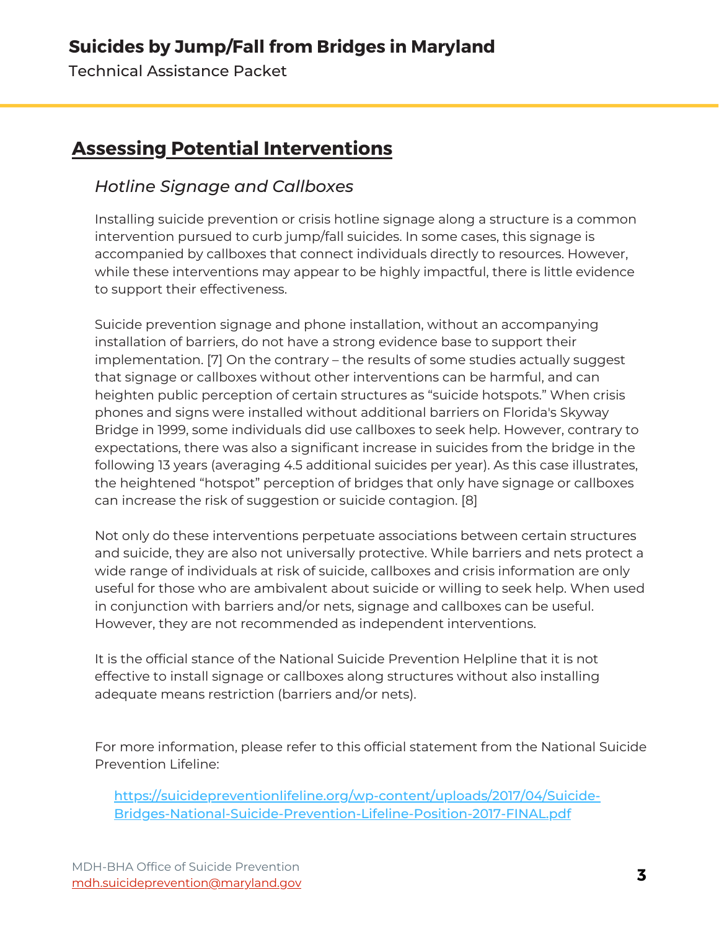Technical Assistance Packet

# **Assessing Potential Interventions**

#### *Hotline Signage and Callboxes*

Installing suicide prevention or crisis hotline signage along a structure is a common intervention pursued to curb jump/fall suicides. In some cases, this signage is accompanied by callboxes that connect individuals directly to resources. However, while these interventions may appear to be highly impactful, there is little evidence to support their effectiveness.

Suicide prevention signage and phone installation, without an accompanying installation of barriers, do not have a strong evidence base to support their implementation. [7] On the contrary – the results of some studies actually suggest that signage or callboxes without other interventions can be harmful, and can heighten public perception of certain structures as "suicide hotspots." When crisis phones and signs were installed without additional barriers on Florida's Skyway Bridge in 1999, some individuals did use callboxes to seek help. However, contrary to expectations, there was also a significant increase in suicides from the bridge in the following 13 years (averaging 4.5 additional suicides per year). As this case illustrates, the heightened "hotspot" perception of bridges that only have signage or callboxes can increase the risk of suggestion or suicide contagion. [8]

Not only do these interventions perpetuate associations between certain structures and suicide, they are also not universally protective. While barriers and nets protect a wide range of individuals at risk of suicide, callboxes and crisis information are only useful for those who are ambivalent about suicide or willing to seek help. When used in conjunction with barriers and/or nets, signage and callboxes can be useful. However, they are not recommended as independent interventions.

It is the official stance of the National Suicide Prevention Helpline that it is not effective to install signage or callboxes along structures without also installing adequate means restriction (barriers and/or nets).

For more information, please refer to this official statement from the National Suicide Prevention Lifeline:

[https://suicidepreventionlifeline.org/wp-content/uploads/2017/04/Suicide-](https://suicidepreventionlifeline.org/wp-content/uploads/2017/04/Suicide-Bridges-National-Suicide-Prevention-Lifeline-Position-2017-FINAL.pdf)Bridges-National-Suicide-Prevention-Lifeline-Position-2017-FINAL.pdf